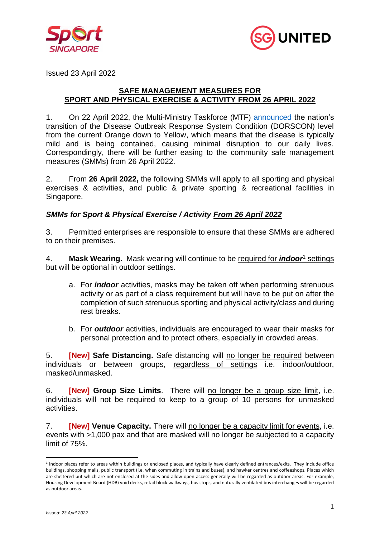



Issued 23 April 2022

## **SAFE MANAGEMENT MEASURES FOR SPORT AND PHYSICAL EXERCISE & ACTIVITY FROM 26 APRIL 2022**

1. On 22 April 2022, the Multi-Ministry Taskforce (MTF) [announced](https://www.moh.gov.sg/news-highlights/details/further-easing-of-community-and-border-measures) the nation's transition of the Disease Outbreak Response System Condition (DORSCON) level from the current Orange down to Yellow, which means that the disease is typically mild and is being contained, causing minimal disruption to our daily lives. Correspondingly, there will be further easing to the community safe management measures (SMMs) from 26 April 2022.

2. From **26 April 2022,** the following SMMs will apply to all sporting and physical exercises & activities, and public & private sporting & recreational facilities in Singapore.

## *SMMs for Sport & Physical Exercise / Activity From 26 April 2022*

3. Permitted enterprises are responsible to ensure that these SMMs are adhered to on their premises.

4. **Mask Wearing.** Mask wearing will continue to be required for *indoor*<sup>1</sup> settings but will be optional in outdoor settings.

- a. For *indoor* activities, masks may be taken off when performing strenuous activity or as part of a class requirement but will have to be put on after the completion of such strenuous sporting and physical activity/class and during rest breaks.
- b. For *outdoor* activities, individuals are encouraged to wear their masks for personal protection and to protect others, especially in crowded areas.

5. **[New] Safe Distancing.** Safe distancing will no longer be required between individuals or between groups, regardless of settings i.e. indoor/outdoor, masked/unmasked.

6. **[New] Group Size Limits**. There will no longer be a group size limit, i.e. individuals will not be required to keep to a group of 10 persons for unmasked activities.

7. **[New] Venue Capacity.** There will no longer be a capacity limit for events, i.e. events with >1,000 pax and that are masked will no longer be subjected to a capacity limit of 75%.

<sup>&</sup>lt;sup>1</sup> Indoor places refer to areas within buildings or enclosed places, and typically have clearly defined entrances/exits. They include office buildings, shopping malls, public transport (i.e. when commuting in trains and buses), and hawker centres and coffeeshops. Places which are sheltered but which are not enclosed at the sides and allow open access generally will be regarded as outdoor areas. For example, Housing Development Board (HDB) void decks, retail block walkways, bus stops, and naturally ventilated bus interchanges will be regarded as outdoor areas.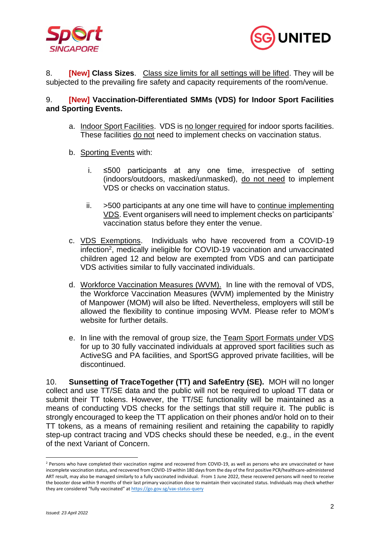



8. **[New] Class Sizes**. Class size limits for all settings will be lifted. They will be subjected to the prevailing fire safety and capacity requirements of the room/venue.

## 9. **[New] Vaccination-Differentiated SMMs (VDS) for Indoor Sport Facilities and Sporting Events.**

- a. Indoor Sport Facilities. VDS is no longer required for indoor sports facilities. These facilities do not need to implement checks on vaccination status.
- b. Sporting Events with:
	- i. ≤500 participants at any one time, irrespective of setting (indoors/outdoors, masked/unmasked), do not need to implement VDS or checks on vaccination status.
	- ii. >500 participants at any one time will have to continue implementing VDS. Event organisers will need to implement checks on participants' vaccination status before they enter the venue.
- c. VDS Exemptions. Individuals who have recovered from a COVID-19 infection<sup>2</sup> , medically ineligible for COVID-19 vaccination and unvaccinated children aged 12 and below are exempted from VDS and can participate VDS activities similar to fully vaccinated individuals.
- d. Workforce Vaccination Measures (WVM). In line with the removal of VDS, the Workforce Vaccination Measures (WVM) implemented by the Ministry of Manpower (MOM) will also be lifted. Nevertheless, employers will still be allowed the flexibility to continue imposing WVM. Please refer to MOM's website for further details.
- e. In line with the removal of group size, the Team Sport Formats under VDS for up to 30 fully vaccinated individuals at approved sport facilities such as ActiveSG and PA facilities, and SportSG approved private facilities, will be discontinued.

10. **Sunsetting of TraceTogether (TT) and SafeEntry (SE).** MOH will no longer collect and use TT/SE data and the public will not be required to upload TT data or submit their TT tokens. However, the TT/SE functionality will be maintained as a means of conducting VDS checks for the settings that still require it. The public is strongly encouraged to keep the TT application on their phones and/or hold on to their TT tokens, as a means of remaining resilient and retaining the capability to rapidly step-up contract tracing and VDS checks should these be needed, e.g., in the event of the next Variant of Concern.

<sup>&</sup>lt;sup>2</sup> Persons who have completed their vaccination regime and recovered from COVID-19, as well as persons who are unvaccinated or have incomplete vaccination status, and recovered from COVID-19 within 180 days from the day of the first positive PCR/healthcare-administered ART result, may also be managed similarly to a fully vaccinated individual. From 1 June 2022, these recovered persons will need to receive the booster dose within 9 months of their last primary vaccination dose to maintain their vaccinated status. Individuals may check whether they are considered "fully vaccinated" at <https://go.gov.sg/vax-status-query>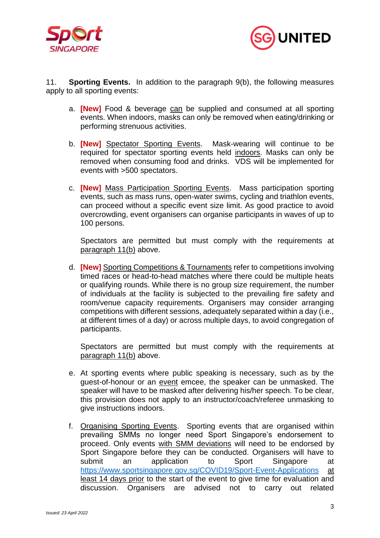



11. **Sporting Events.** In addition to the paragraph 9(b), the following measures apply to all sporting events:

- a. **[New]** Food & beverage can be supplied and consumed at all sporting events. When indoors, masks can only be removed when eating/drinking or performing strenuous activities.
- b. **[New]** Spectator Sporting Events. Mask-wearing will continue to be required for spectator sporting events held indoors. Masks can only be removed when consuming food and drinks. VDS will be implemented for events with >500 spectators.
- c. **[New]** Mass Participation Sporting Events. Mass participation sporting events, such as mass runs, open-water swims, cycling and triathlon events, can proceed without a specific event size limit. As good practice to avoid overcrowding, event organisers can organise participants in waves of up to 100 persons.

Spectators are permitted but must comply with the requirements at paragraph 11(b) above.

d. **[New]** Sporting Competitions & Tournaments refer to competitions involving timed races or head-to-head matches where there could be multiple heats or qualifying rounds. While there is no group size requirement, the number of individuals at the facility is subjected to the prevailing fire safety and room/venue capacity requirements. Organisers may consider arranging competitions with different sessions, adequately separated within a day (i.e., at different times of a day) or across multiple days, to avoid congregation of participants.

Spectators are permitted but must comply with the requirements at paragraph 11(b) above.

- e. At sporting events where public speaking is necessary, such as by the guest-of-honour or an event emcee, the speaker can be unmasked. The speaker will have to be masked after delivering his/her speech. To be clear, this provision does not apply to an instructor/coach/referee unmasking to give instructions indoors.
- f. Organising Sporting Events. Sporting events that are organised within prevailing SMMs no longer need Sport Singapore's endorsement to proceed. Only events with SMM deviations will need to be endorsed by Sport Singapore before they can be conducted. Organisers will have to submit an application to Sport Singapore at <https://www.sportsingapore.gov.sg/COVID19/Sport-Event-Applications> at least 14 days prior to the start of the event to give time for evaluation and discussion. Organisers are advised not to carry out related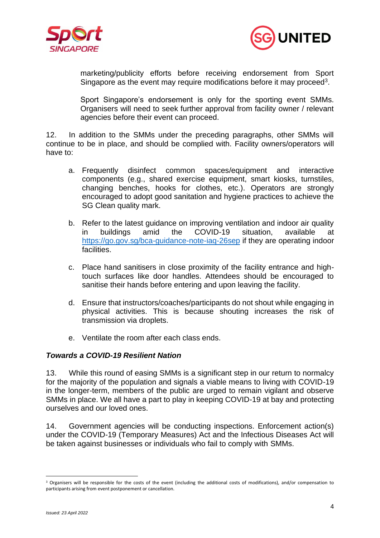



marketing/publicity efforts before receiving endorsement from Sport Singapore as the event may require modifications before it may proceed<sup>3</sup>.

Sport Singapore's endorsement is only for the sporting event SMMs. Organisers will need to seek further approval from facility owner / relevant agencies before their event can proceed.

12. In addition to the SMMs under the preceding paragraphs, other SMMs will continue to be in place, and should be complied with. Facility owners/operators will have to:

- a. Frequently disinfect common spaces/equipment and interactive components (e.g., shared exercise equipment, smart kiosks, turnstiles, changing benches, hooks for clothes, etc.). Operators are strongly encouraged to adopt good sanitation and hygiene practices to achieve the SG Clean quality mark.
- b. Refer to the latest guidance on improving ventilation and indoor air quality in buildings amid the COVID-19 situation, available at <https://go.gov.sg/bca-guidance-note-iaq-26sep> if they are operating indoor facilities.
- c. Place hand sanitisers in close proximity of the facility entrance and hightouch surfaces like door handles. Attendees should be encouraged to sanitise their hands before entering and upon leaving the facility.
- d. Ensure that instructors/coaches/participants do not shout while engaging in physical activities. This is because shouting increases the risk of transmission via droplets.
- e. Ventilate the room after each class ends.

## *Towards a COVID-19 Resilient Nation*

13. While this round of easing SMMs is a significant step in our return to normalcy for the majority of the population and signals a viable means to living with COVID-19 in the longer-term, members of the public are urged to remain vigilant and observe SMMs in place. We all have a part to play in keeping COVID-19 at bay and protecting ourselves and our loved ones.

14. Government agencies will be conducting inspections. Enforcement action(s) under the COVID-19 (Temporary Measures) Act and the Infectious Diseases Act will be taken against businesses or individuals who fail to comply with SMMs.

<sup>&</sup>lt;sup>3</sup> Organisers will be responsible for the costs of the event (including the additional costs of modifications), and/or compensation to participants arising from event postponement or cancellation.